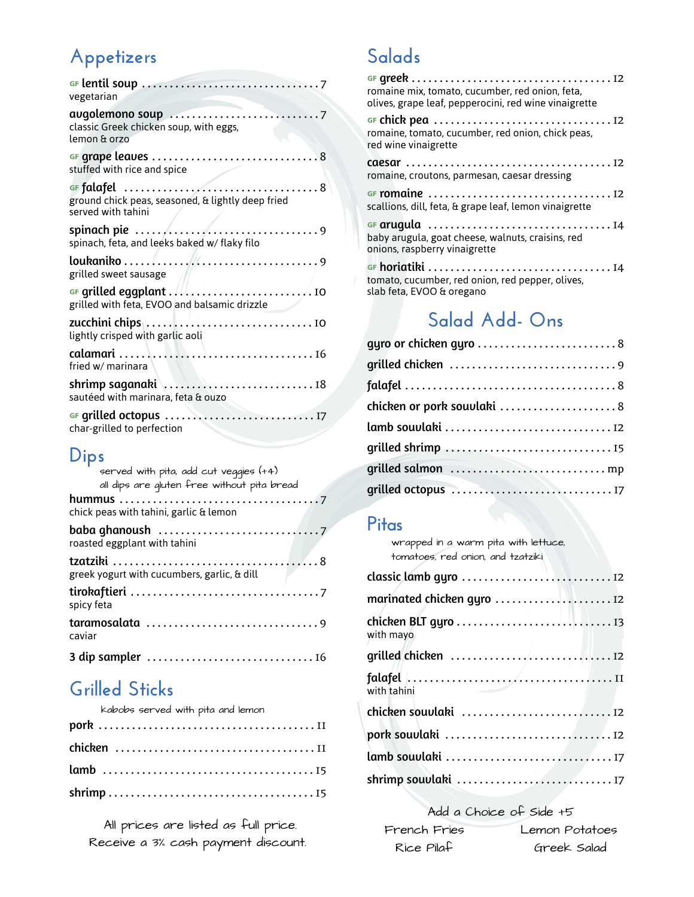# **Appetizers**

| vegetarian                                                              |
|-------------------------------------------------------------------------|
| classic Greek chicken soup, with eggs,<br>lemon & orzo                  |
| stuffed with rice and spice                                             |
| ground chick peas, seasoned, & lightly deep fried<br>served with tahini |
| spinach, feta, and leeks baked w/ flaky filo                            |
| grilled sweet sausage                                                   |
| grilled with feta, EVOO and balsamic drizzle                            |
| lightly crisped with garlic aoli                                        |
| fried w/ marinara                                                       |
| sautéed with marinara, feta & ouzo                                      |
| char-grilled to perfection                                              |

#### **Dips**

| served with pita, add cut veggies (+4)<br>all dips are qluten free without pita bread |
|---------------------------------------------------------------------------------------|
| chick peas with tahini, garlic & lemon                                                |
| roasted eggplant with tahini                                                          |
| greek yogurt with cucumbers, garlic, & dill                                           |
| spicy feta                                                                            |
| caviar                                                                                |
|                                                                                       |

#### **Grilled Sticks**

| kabobs served with pita and lemon |  |
|-----------------------------------|--|
|                                   |  |
|                                   |  |
|                                   |  |
|                                   |  |

All prices are listed as full price. Receive a 3% cash payment discount.

#### **Salads**

| romaine mix, tomato, cucumber, red onion, feta,<br>olives, grape leaf, pepperocini, red wine vinaigrette |
|----------------------------------------------------------------------------------------------------------|
| romaine, tomato, cucumber, red onion, chick peas,<br>red wine vinaigrette                                |
| romaine, croutons, parmesan, caesar dressing                                                             |
| scallions, dill, feta, & grape leaf, lemon vinaigrette                                                   |
| baby arugula, goat cheese, walnuts, craisins, red<br>onions, raspberry vinaigrette                       |
| tomato, cucumber, red onion, red pepper, olives,<br>slab feta, EVOO & oregano                            |

# **Salad Add- Ons**

| chicken or pork souvlaki 8 |
|----------------------------|
|                            |
|                            |
|                            |
|                            |
|                            |

#### **Pitas**

wrapped in a warm pita with lettuce, tomatoes, red onion, and tzatziki

| with mayo   |  |
|-------------|--|
|             |  |
| with tahini |  |
|             |  |
|             |  |
|             |  |
|             |  |

Add a Choice of Side +5 French Fries Lemon Potatoes Rice Pilaf Greek Salad